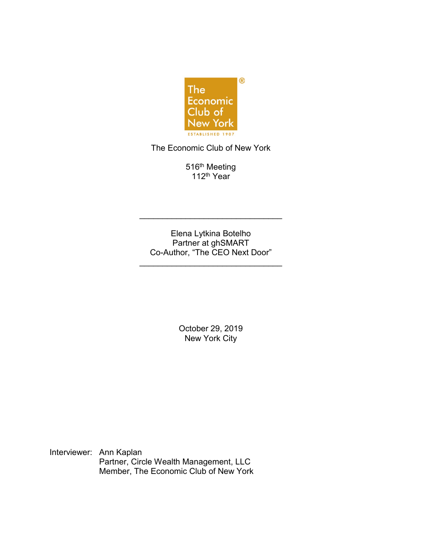

The Economic Club of New York

516<sup>th</sup> Meeting 112<sup>th</sup> Year<sup>1</sup>

Elena Lytkina Botelho Partner at ghSMART Co-Author, "The CEO Next Door"

\_\_\_\_\_\_\_\_\_\_\_\_\_\_\_\_\_\_\_\_\_\_\_\_\_\_\_\_\_\_\_

\_\_\_\_\_\_\_\_\_\_\_\_\_\_\_\_\_\_\_\_\_\_\_\_\_\_\_\_\_\_\_

October 29, 2019 New York City

Interviewer: Ann Kaplan Partner, Circle Wealth Management, LLC Member, The Economic Club of New York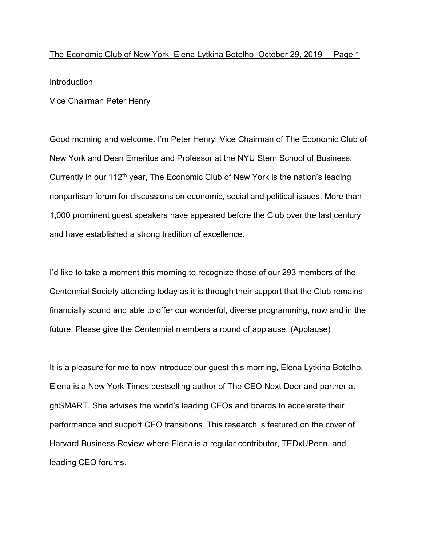Introduction

Vice Chairman Peter Henry

Good morning and welcome. I'm Peter Henry, Vice Chairman of The Economic Club of New York and Dean Emeritus and Professor at the NYU Stern School of Business. Currently in our  $112<sup>th</sup>$  year, The Economic Club of New York is the nation's leading nonpartisan forum for discussions on economic, social and political issues. More than 1,000 prominent guest speakers have appeared before the Club over the last century and have established a strong tradition of excellence.

I'd like to take a moment this morning to recognize those of our 293 members of the Centennial Society attending today as it is through their support that the Club remains financially sound and able to offer our wonderful, diverse programming, now and in the future. Please give the Centennial members a round of applause. (Applause)

It is a pleasure for me to now introduce our guest this morning, Elena Lytkina Botelho. Elena is a New York Times bestselling author of The CEO Next Door and partner at ghSMART. She advises the world's leading CEOs and boards to accelerate their performance and support CEO transitions. This research is featured on the cover of Harvard Business Review where Elena is a regular contributor, TEDxUPenn, and leading CEO forums.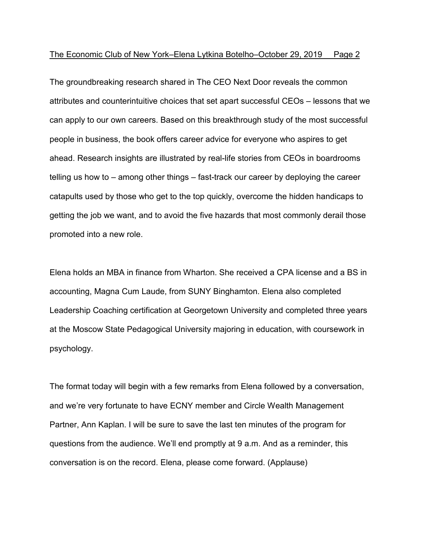The groundbreaking research shared in The CEO Next Door reveals the common attributes and counterintuitive choices that set apart successful CEOs – lessons that we can apply to our own careers. Based on this breakthrough study of the most successful people in business, the book offers career advice for everyone who aspires to get ahead. Research insights are illustrated by real-life stories from CEOs in boardrooms telling us how to – among other things – fast-track our career by deploying the career catapults used by those who get to the top quickly, overcome the hidden handicaps to getting the job we want, and to avoid the five hazards that most commonly derail those promoted into a new role.

Elena holds an MBA in finance from Wharton. She received a CPA license and a BS in accounting, Magna Cum Laude, from SUNY Binghamton. Elena also completed Leadership Coaching certification at Georgetown University and completed three years at the Moscow State Pedagogical University majoring in education, with coursework in psychology.

The format today will begin with a few remarks from Elena followed by a conversation, and we're very fortunate to have ECNY member and Circle Wealth Management Partner, Ann Kaplan. I will be sure to save the last ten minutes of the program for questions from the audience. We'll end promptly at 9 a.m. And as a reminder, this conversation is on the record. Elena, please come forward. (Applause)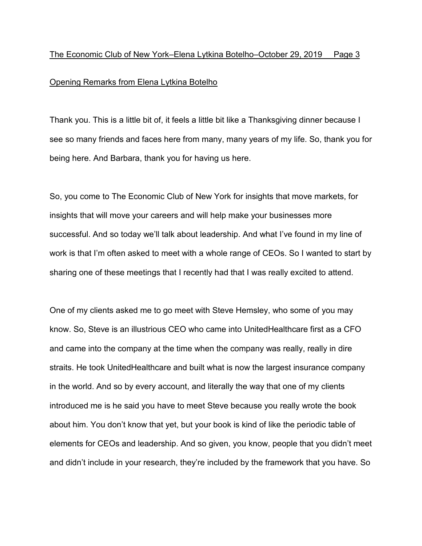# Opening Remarks from Elena Lytkina Botelho

Thank you. This is a little bit of, it feels a little bit like a Thanksgiving dinner because I see so many friends and faces here from many, many years of my life. So, thank you for being here. And Barbara, thank you for having us here.

So, you come to The Economic Club of New York for insights that move markets, for insights that will move your careers and will help make your businesses more successful. And so today we'll talk about leadership. And what I've found in my line of work is that I'm often asked to meet with a whole range of CEOs. So I wanted to start by sharing one of these meetings that I recently had that I was really excited to attend.

One of my clients asked me to go meet with Steve Hemsley, who some of you may know. So, Steve is an illustrious CEO who came into UnitedHealthcare first as a CFO and came into the company at the time when the company was really, really in dire straits. He took UnitedHealthcare and built what is now the largest insurance company in the world. And so by every account, and literally the way that one of my clients introduced me is he said you have to meet Steve because you really wrote the book about him. You don't know that yet, but your book is kind of like the periodic table of elements for CEOs and leadership. And so given, you know, people that you didn't meet and didn't include in your research, they're included by the framework that you have. So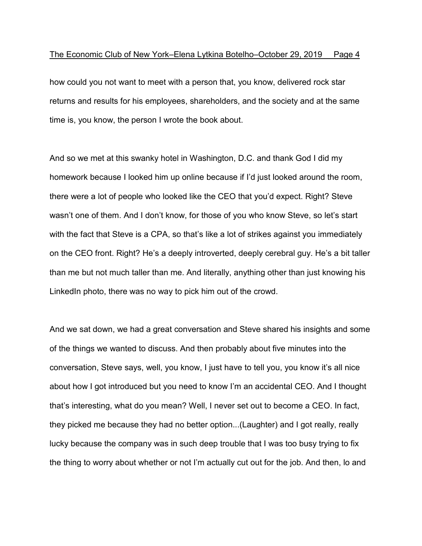how could you not want to meet with a person that, you know, delivered rock star returns and results for his employees, shareholders, and the society and at the same time is, you know, the person I wrote the book about.

And so we met at this swanky hotel in Washington, D.C. and thank God I did my homework because I looked him up online because if I'd just looked around the room, there were a lot of people who looked like the CEO that you'd expect. Right? Steve wasn't one of them. And I don't know, for those of you who know Steve, so let's start with the fact that Steve is a CPA, so that's like a lot of strikes against you immediately on the CEO front. Right? He's a deeply introverted, deeply cerebral guy. He's a bit taller than me but not much taller than me. And literally, anything other than just knowing his LinkedIn photo, there was no way to pick him out of the crowd.

And we sat down, we had a great conversation and Steve shared his insights and some of the things we wanted to discuss. And then probably about five minutes into the conversation, Steve says, well, you know, I just have to tell you, you know it's all nice about how I got introduced but you need to know I'm an accidental CEO. And I thought that's interesting, what do you mean? Well, I never set out to become a CEO. In fact, they picked me because they had no better option...(Laughter) and I got really, really lucky because the company was in such deep trouble that I was too busy trying to fix the thing to worry about whether or not I'm actually cut out for the job. And then, lo and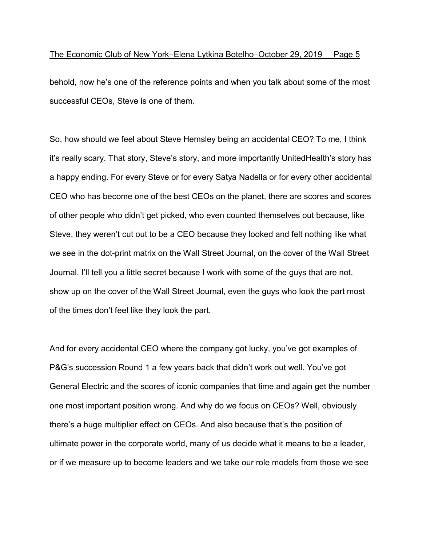behold, now he's one of the reference points and when you talk about some of the most successful CEOs, Steve is one of them.

So, how should we feel about Steve Hemsley being an accidental CEO? To me, I think it's really scary. That story, Steve's story, and more importantly UnitedHealth's story has a happy ending. For every Steve or for every Satya Nadella or for every other accidental CEO who has become one of the best CEOs on the planet, there are scores and scores of other people who didn't get picked, who even counted themselves out because, like Steve, they weren't cut out to be a CEO because they looked and felt nothing like what we see in the dot-print matrix on the Wall Street Journal, on the cover of the Wall Street Journal. I'll tell you a little secret because I work with some of the guys that are not, show up on the cover of the Wall Street Journal, even the guys who look the part most of the times don't feel like they look the part.

And for every accidental CEO where the company got lucky, you've got examples of P&G's succession Round 1 a few years back that didn't work out well. You've got General Electric and the scores of iconic companies that time and again get the number one most important position wrong. And why do we focus on CEOs? Well, obviously there's a huge multiplier effect on CEOs. And also because that's the position of ultimate power in the corporate world, many of us decide what it means to be a leader, or if we measure up to become leaders and we take our role models from those we see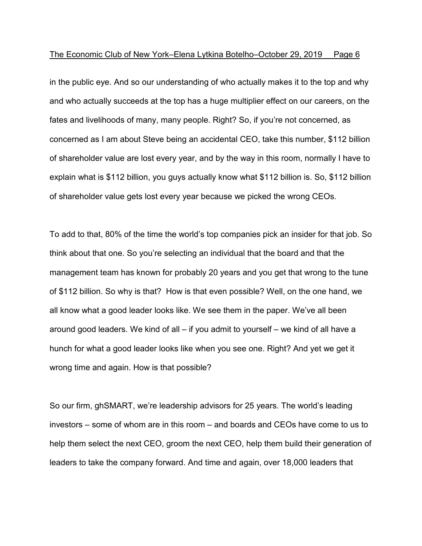in the public eye. And so our understanding of who actually makes it to the top and why and who actually succeeds at the top has a huge multiplier effect on our careers, on the fates and livelihoods of many, many people. Right? So, if you're not concerned, as concerned as I am about Steve being an accidental CEO, take this number, \$112 billion of shareholder value are lost every year, and by the way in this room, normally I have to explain what is \$112 billion, you guys actually know what \$112 billion is. So, \$112 billion of shareholder value gets lost every year because we picked the wrong CEOs.

To add to that, 80% of the time the world's top companies pick an insider for that job. So think about that one. So you're selecting an individual that the board and that the management team has known for probably 20 years and you get that wrong to the tune of \$112 billion. So why is that? How is that even possible? Well, on the one hand, we all know what a good leader looks like. We see them in the paper. We've all been around good leaders. We kind of all – if you admit to yourself – we kind of all have a hunch for what a good leader looks like when you see one. Right? And yet we get it wrong time and again. How is that possible?

So our firm, ghSMART, we're leadership advisors for 25 years. The world's leading investors – some of whom are in this room – and boards and CEOs have come to us to help them select the next CEO, groom the next CEO, help them build their generation of leaders to take the company forward. And time and again, over 18,000 leaders that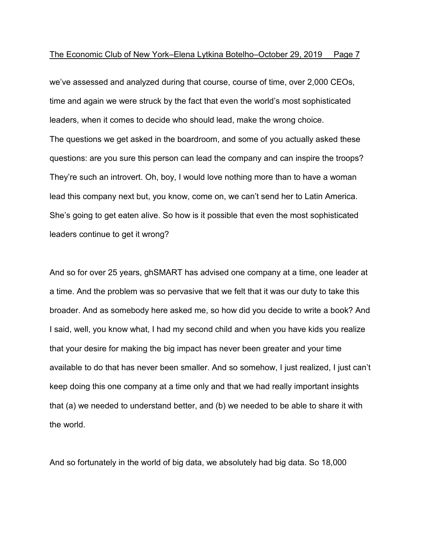we've assessed and analyzed during that course, course of time, over 2,000 CEOs, time and again we were struck by the fact that even the world's most sophisticated leaders, when it comes to decide who should lead, make the wrong choice. The questions we get asked in the boardroom, and some of you actually asked these questions: are you sure this person can lead the company and can inspire the troops? They're such an introvert. Oh, boy, I would love nothing more than to have a woman lead this company next but, you know, come on, we can't send her to Latin America. She's going to get eaten alive. So how is it possible that even the most sophisticated leaders continue to get it wrong?

And so for over 25 years, ghSMART has advised one company at a time, one leader at a time. And the problem was so pervasive that we felt that it was our duty to take this broader. And as somebody here asked me, so how did you decide to write a book? And I said, well, you know what, I had my second child and when you have kids you realize that your desire for making the big impact has never been greater and your time available to do that has never been smaller. And so somehow, I just realized, I just can't keep doing this one company at a time only and that we had really important insights that (a) we needed to understand better, and (b) we needed to be able to share it with the world.

And so fortunately in the world of big data, we absolutely had big data. So 18,000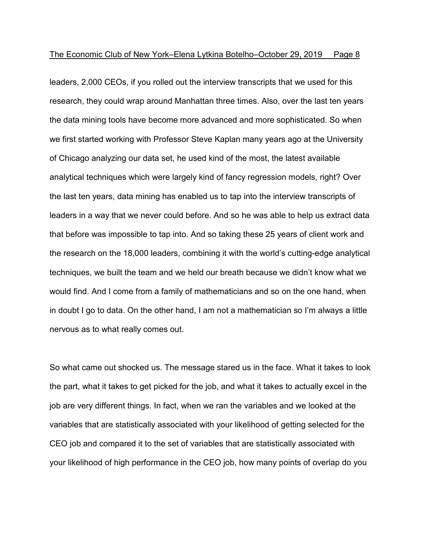leaders, 2,000 CEOs, if you rolled out the interview transcripts that we used for this research, they could wrap around Manhattan three times. Also, over the last ten years the data mining tools have become more advanced and more sophisticated. So when we first started working with Professor Steve Kaplan many years ago at the University of Chicago analyzing our data set, he used kind of the most, the latest available analytical techniques which were largely kind of fancy regression models, right? Over the last ten years, data mining has enabled us to tap into the interview transcripts of leaders in a way that we never could before. And so he was able to help us extract data that before was impossible to tap into. And so taking these 25 years of client work and the research on the 18,000 leaders, combining it with the world's cutting-edge analytical techniques, we built the team and we held our breath because we didn't know what we would find. And I come from a family of mathematicians and so on the one hand, when in doubt I go to data. On the other hand, I am not a mathematician so I'm always a little nervous as to what really comes out.

So what came out shocked us. The message stared us in the face. What it takes to look the part, what it takes to get picked for the job, and what it takes to actually excel in the job are very different things. In fact, when we ran the variables and we looked at the variables that are statistically associated with your likelihood of getting selected for the CEO job and compared it to the set of variables that are statistically associated with your likelihood of high performance in the CEO job, how many points of overlap do you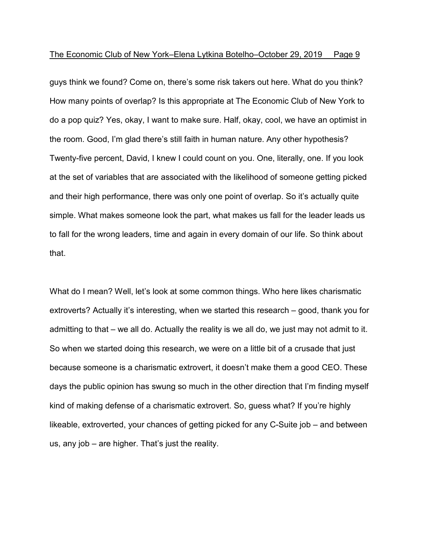guys think we found? Come on, there's some risk takers out here. What do you think? How many points of overlap? Is this appropriate at The Economic Club of New York to do a pop quiz? Yes, okay, I want to make sure. Half, okay, cool, we have an optimist in the room. Good, I'm glad there's still faith in human nature. Any other hypothesis? Twenty-five percent, David, I knew I could count on you. One, literally, one. If you look at the set of variables that are associated with the likelihood of someone getting picked and their high performance, there was only one point of overlap. So it's actually quite simple. What makes someone look the part, what makes us fall for the leader leads us to fall for the wrong leaders, time and again in every domain of our life. So think about that.

What do I mean? Well, let's look at some common things. Who here likes charismatic extroverts? Actually it's interesting, when we started this research – good, thank you for admitting to that – we all do. Actually the reality is we all do, we just may not admit to it. So when we started doing this research, we were on a little bit of a crusade that just because someone is a charismatic extrovert, it doesn't make them a good CEO. These days the public opinion has swung so much in the other direction that I'm finding myself kind of making defense of a charismatic extrovert. So, guess what? If you're highly likeable, extroverted, your chances of getting picked for any C-Suite job – and between us, any job – are higher. That's just the reality.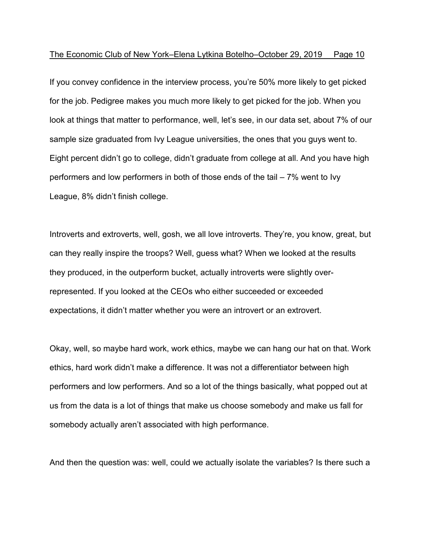If you convey confidence in the interview process, you're 50% more likely to get picked for the job. Pedigree makes you much more likely to get picked for the job. When you look at things that matter to performance, well, let's see, in our data set, about 7% of our sample size graduated from Ivy League universities, the ones that you guys went to. Eight percent didn't go to college, didn't graduate from college at all. And you have high performers and low performers in both of those ends of the tail – 7% went to Ivy League, 8% didn't finish college.

Introverts and extroverts, well, gosh, we all love introverts. They're, you know, great, but can they really inspire the troops? Well, guess what? When we looked at the results they produced, in the outperform bucket, actually introverts were slightly overrepresented. If you looked at the CEOs who either succeeded or exceeded expectations, it didn't matter whether you were an introvert or an extrovert.

Okay, well, so maybe hard work, work ethics, maybe we can hang our hat on that. Work ethics, hard work didn't make a difference. It was not a differentiator between high performers and low performers. And so a lot of the things basically, what popped out at us from the data is a lot of things that make us choose somebody and make us fall for somebody actually aren't associated with high performance.

And then the question was: well, could we actually isolate the variables? Is there such a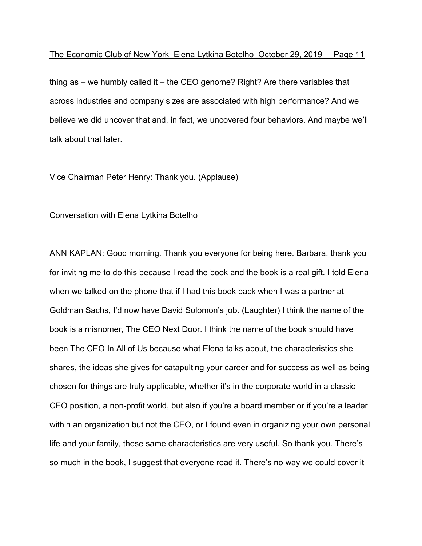thing as – we humbly called it – the CEO genome? Right? Are there variables that across industries and company sizes are associated with high performance? And we believe we did uncover that and, in fact, we uncovered four behaviors. And maybe we'll talk about that later.

Vice Chairman Peter Henry: Thank you. (Applause)

# Conversation with Elena Lytkina Botelho

ANN KAPLAN: Good morning. Thank you everyone for being here. Barbara, thank you for inviting me to do this because I read the book and the book is a real gift. I told Elena when we talked on the phone that if I had this book back when I was a partner at Goldman Sachs, I'd now have David Solomon's job. (Laughter) I think the name of the book is a misnomer, The CEO Next Door. I think the name of the book should have been The CEO In All of Us because what Elena talks about, the characteristics she shares, the ideas she gives for catapulting your career and for success as well as being chosen for things are truly applicable, whether it's in the corporate world in a classic CEO position, a non-profit world, but also if you're a board member or if you're a leader within an organization but not the CEO, or I found even in organizing your own personal life and your family, these same characteristics are very useful. So thank you. There's so much in the book, I suggest that everyone read it. There's no way we could cover it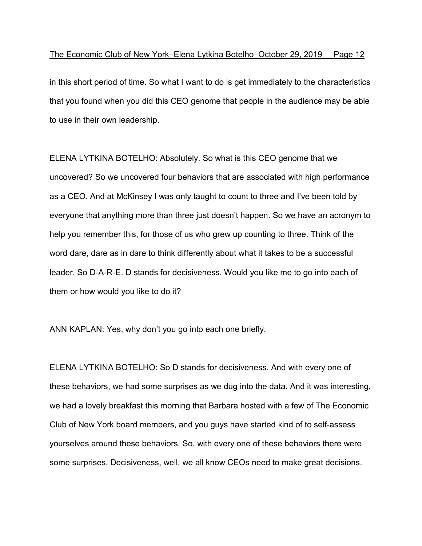in this short period of time. So what I want to do is get immediately to the characteristics that you found when you did this CEO genome that people in the audience may be able to use in their own leadership.

ELENA LYTKINA BOTELHO: Absolutely. So what is this CEO genome that we uncovered? So we uncovered four behaviors that are associated with high performance as a CEO. And at McKinsey I was only taught to count to three and I've been told by everyone that anything more than three just doesn't happen. So we have an acronym to help you remember this, for those of us who grew up counting to three. Think of the word dare, dare as in dare to think differently about what it takes to be a successful leader. So D-A-R-E. D stands for decisiveness. Would you like me to go into each of them or how would you like to do it?

ANN KAPLAN: Yes, why don't you go into each one briefly.

ELENA LYTKINA BOTELHO: So D stands for decisiveness. And with every one of these behaviors, we had some surprises as we dug into the data. And it was interesting, we had a lovely breakfast this morning that Barbara hosted with a few of The Economic Club of New York board members, and you guys have started kind of to self-assess yourselves around these behaviors. So, with every one of these behaviors there were some surprises. Decisiveness, well, we all know CEOs need to make great decisions.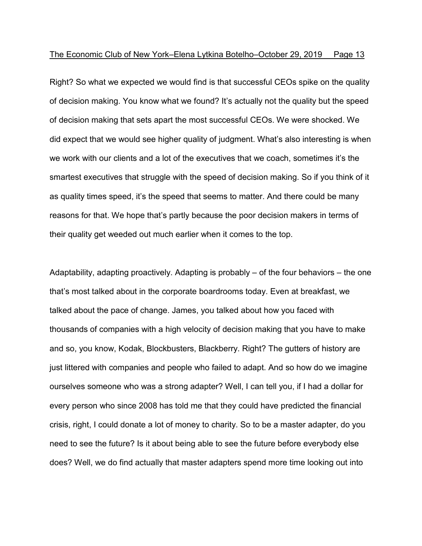Right? So what we expected we would find is that successful CEOs spike on the quality of decision making. You know what we found? It's actually not the quality but the speed of decision making that sets apart the most successful CEOs. We were shocked. We did expect that we would see higher quality of judgment. What's also interesting is when we work with our clients and a lot of the executives that we coach, sometimes it's the smartest executives that struggle with the speed of decision making. So if you think of it as quality times speed, it's the speed that seems to matter. And there could be many reasons for that. We hope that's partly because the poor decision makers in terms of their quality get weeded out much earlier when it comes to the top.

Adaptability, adapting proactively. Adapting is probably – of the four behaviors – the one that's most talked about in the corporate boardrooms today. Even at breakfast, we talked about the pace of change. James, you talked about how you faced with thousands of companies with a high velocity of decision making that you have to make and so, you know, Kodak, Blockbusters, Blackberry. Right? The gutters of history are just littered with companies and people who failed to adapt. And so how do we imagine ourselves someone who was a strong adapter? Well, I can tell you, if I had a dollar for every person who since 2008 has told me that they could have predicted the financial crisis, right, I could donate a lot of money to charity. So to be a master adapter, do you need to see the future? Is it about being able to see the future before everybody else does? Well, we do find actually that master adapters spend more time looking out into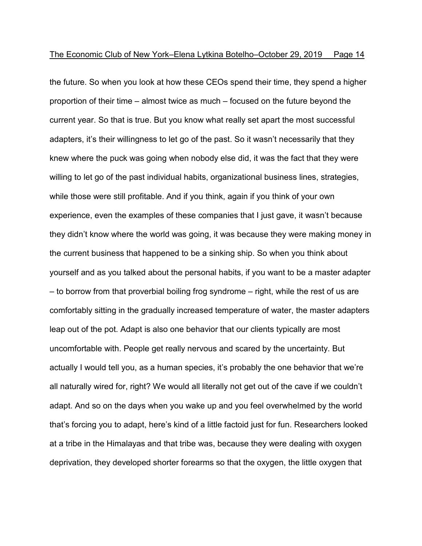the future. So when you look at how these CEOs spend their time, they spend a higher proportion of their time – almost twice as much – focused on the future beyond the current year. So that is true. But you know what really set apart the most successful adapters, it's their willingness to let go of the past. So it wasn't necessarily that they knew where the puck was going when nobody else did, it was the fact that they were willing to let go of the past individual habits, organizational business lines, strategies, while those were still profitable. And if you think, again if you think of your own experience, even the examples of these companies that I just gave, it wasn't because they didn't know where the world was going, it was because they were making money in the current business that happened to be a sinking ship. So when you think about yourself and as you talked about the personal habits, if you want to be a master adapter – to borrow from that proverbial boiling frog syndrome – right, while the rest of us are comfortably sitting in the gradually increased temperature of water, the master adapters leap out of the pot. Adapt is also one behavior that our clients typically are most uncomfortable with. People get really nervous and scared by the uncertainty. But actually I would tell you, as a human species, it's probably the one behavior that we're all naturally wired for, right? We would all literally not get out of the cave if we couldn't adapt. And so on the days when you wake up and you feel overwhelmed by the world that's forcing you to adapt, here's kind of a little factoid just for fun. Researchers looked at a tribe in the Himalayas and that tribe was, because they were dealing with oxygen deprivation, they developed shorter forearms so that the oxygen, the little oxygen that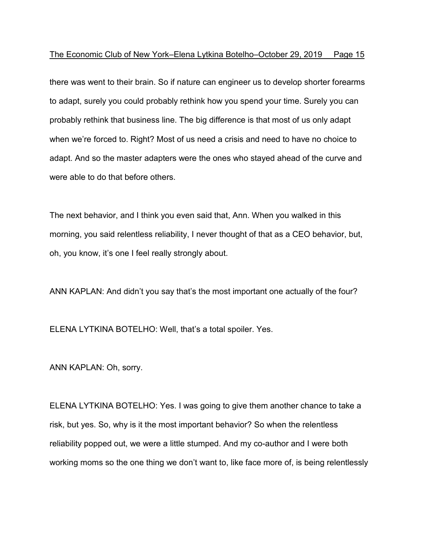there was went to their brain. So if nature can engineer us to develop shorter forearms to adapt, surely you could probably rethink how you spend your time. Surely you can probably rethink that business line. The big difference is that most of us only adapt when we're forced to. Right? Most of us need a crisis and need to have no choice to adapt. And so the master adapters were the ones who stayed ahead of the curve and were able to do that before others.

The next behavior, and I think you even said that, Ann. When you walked in this morning, you said relentless reliability, I never thought of that as a CEO behavior, but, oh, you know, it's one I feel really strongly about.

ANN KAPLAN: And didn't you say that's the most important one actually of the four?

ELENA LYTKINA BOTELHO: Well, that's a total spoiler. Yes.

ANN KAPLAN: Oh, sorry.

ELENA LYTKINA BOTELHO: Yes. I was going to give them another chance to take a risk, but yes. So, why is it the most important behavior? So when the relentless reliability popped out, we were a little stumped. And my co-author and I were both working moms so the one thing we don't want to, like face more of, is being relentlessly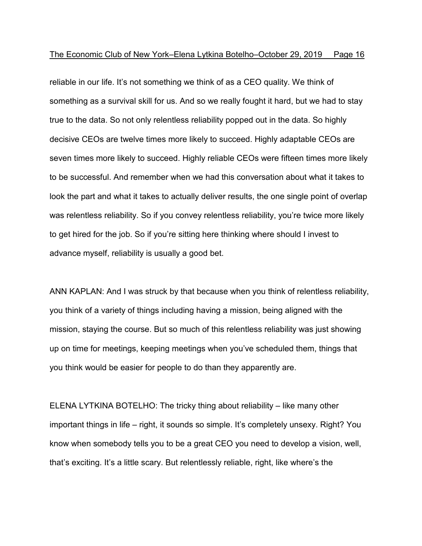reliable in our life. It's not something we think of as a CEO quality. We think of something as a survival skill for us. And so we really fought it hard, but we had to stay true to the data. So not only relentless reliability popped out in the data. So highly decisive CEOs are twelve times more likely to succeed. Highly adaptable CEOs are seven times more likely to succeed. Highly reliable CEOs were fifteen times more likely to be successful. And remember when we had this conversation about what it takes to look the part and what it takes to actually deliver results, the one single point of overlap was relentless reliability. So if you convey relentless reliability, you're twice more likely to get hired for the job. So if you're sitting here thinking where should I invest to advance myself, reliability is usually a good bet.

ANN KAPLAN: And I was struck by that because when you think of relentless reliability, you think of a variety of things including having a mission, being aligned with the mission, staying the course. But so much of this relentless reliability was just showing up on time for meetings, keeping meetings when you've scheduled them, things that you think would be easier for people to do than they apparently are.

ELENA LYTKINA BOTELHO: The tricky thing about reliability – like many other important things in life – right, it sounds so simple. It's completely unsexy. Right? You know when somebody tells you to be a great CEO you need to develop a vision, well, that's exciting. It's a little scary. But relentlessly reliable, right, like where's the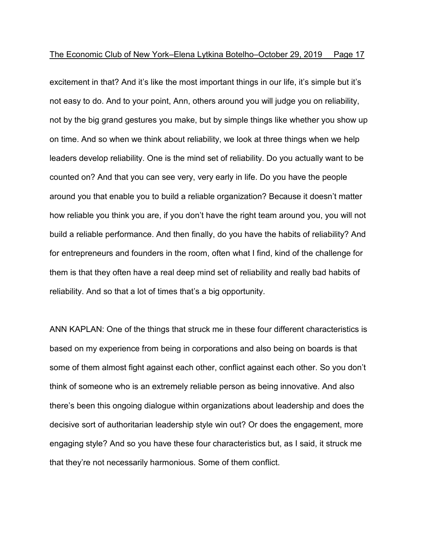excitement in that? And it's like the most important things in our life, it's simple but it's not easy to do. And to your point, Ann, others around you will judge you on reliability, not by the big grand gestures you make, but by simple things like whether you show up on time. And so when we think about reliability, we look at three things when we help leaders develop reliability. One is the mind set of reliability. Do you actually want to be counted on? And that you can see very, very early in life. Do you have the people around you that enable you to build a reliable organization? Because it doesn't matter how reliable you think you are, if you don't have the right team around you, you will not build a reliable performance. And then finally, do you have the habits of reliability? And for entrepreneurs and founders in the room, often what I find, kind of the challenge for them is that they often have a real deep mind set of reliability and really bad habits of reliability. And so that a lot of times that's a big opportunity.

ANN KAPLAN: One of the things that struck me in these four different characteristics is based on my experience from being in corporations and also being on boards is that some of them almost fight against each other, conflict against each other. So you don't think of someone who is an extremely reliable person as being innovative. And also there's been this ongoing dialogue within organizations about leadership and does the decisive sort of authoritarian leadership style win out? Or does the engagement, more engaging style? And so you have these four characteristics but, as I said, it struck me that they're not necessarily harmonious. Some of them conflict.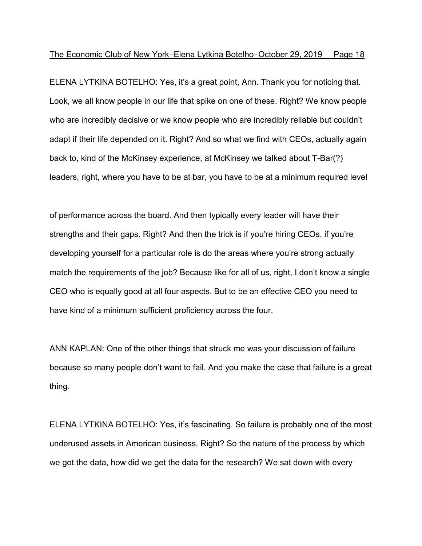ELENA LYTKINA BOTELHO: Yes, it's a great point, Ann. Thank you for noticing that. Look, we all know people in our life that spike on one of these. Right? We know people who are incredibly decisive or we know people who are incredibly reliable but couldn't adapt if their life depended on it. Right? And so what we find with CEOs, actually again back to, kind of the McKinsey experience, at McKinsey we talked about T-Bar(?) leaders, right, where you have to be at bar, you have to be at a minimum required level

of performance across the board. And then typically every leader will have their strengths and their gaps. Right? And then the trick is if you're hiring CEOs, if you're developing yourself for a particular role is do the areas where you're strong actually match the requirements of the job? Because like for all of us, right, I don't know a single CEO who is equally good at all four aspects. But to be an effective CEO you need to have kind of a minimum sufficient proficiency across the four.

ANN KAPLAN: One of the other things that struck me was your discussion of failure because so many people don't want to fail. And you make the case that failure is a great thing.

ELENA LYTKINA BOTELHO: Yes, it's fascinating. So failure is probably one of the most underused assets in American business. Right? So the nature of the process by which we got the data, how did we get the data for the research? We sat down with every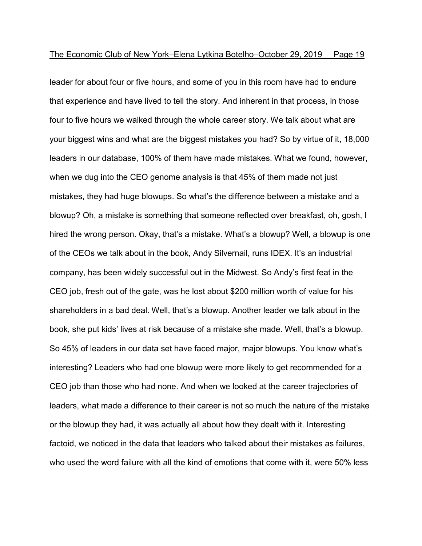leader for about four or five hours, and some of you in this room have had to endure that experience and have lived to tell the story. And inherent in that process, in those four to five hours we walked through the whole career story. We talk about what are your biggest wins and what are the biggest mistakes you had? So by virtue of it, 18,000 leaders in our database, 100% of them have made mistakes. What we found, however, when we dug into the CEO genome analysis is that 45% of them made not just mistakes, they had huge blowups. So what's the difference between a mistake and a blowup? Oh, a mistake is something that someone reflected over breakfast, oh, gosh, I hired the wrong person. Okay, that's a mistake. What's a blowup? Well, a blowup is one of the CEOs we talk about in the book, Andy Silvernail, runs IDEX. It's an industrial company, has been widely successful out in the Midwest. So Andy's first feat in the CEO job, fresh out of the gate, was he lost about \$200 million worth of value for his shareholders in a bad deal. Well, that's a blowup. Another leader we talk about in the book, she put kids' lives at risk because of a mistake she made. Well, that's a blowup. So 45% of leaders in our data set have faced major, major blowups. You know what's interesting? Leaders who had one blowup were more likely to get recommended for a CEO job than those who had none. And when we looked at the career trajectories of leaders, what made a difference to their career is not so much the nature of the mistake or the blowup they had, it was actually all about how they dealt with it. Interesting factoid, we noticed in the data that leaders who talked about their mistakes as failures, who used the word failure with all the kind of emotions that come with it, were 50% less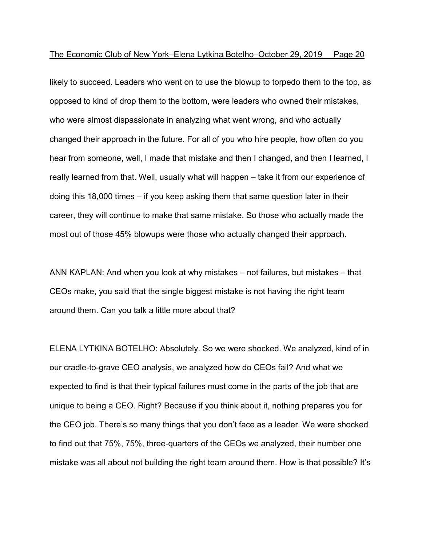likely to succeed. Leaders who went on to use the blowup to torpedo them to the top, as opposed to kind of drop them to the bottom, were leaders who owned their mistakes, who were almost dispassionate in analyzing what went wrong, and who actually changed their approach in the future. For all of you who hire people, how often do you hear from someone, well, I made that mistake and then I changed, and then I learned, I really learned from that. Well, usually what will happen – take it from our experience of doing this 18,000 times – if you keep asking them that same question later in their career, they will continue to make that same mistake. So those who actually made the most out of those 45% blowups were those who actually changed their approach.

ANN KAPLAN: And when you look at why mistakes – not failures, but mistakes – that CEOs make, you said that the single biggest mistake is not having the right team around them. Can you talk a little more about that?

ELENA LYTKINA BOTELHO: Absolutely. So we were shocked. We analyzed, kind of in our cradle-to-grave CEO analysis, we analyzed how do CEOs fail? And what we expected to find is that their typical failures must come in the parts of the job that are unique to being a CEO. Right? Because if you think about it, nothing prepares you for the CEO job. There's so many things that you don't face as a leader. We were shocked to find out that 75%, 75%, three-quarters of the CEOs we analyzed, their number one mistake was all about not building the right team around them. How is that possible? It's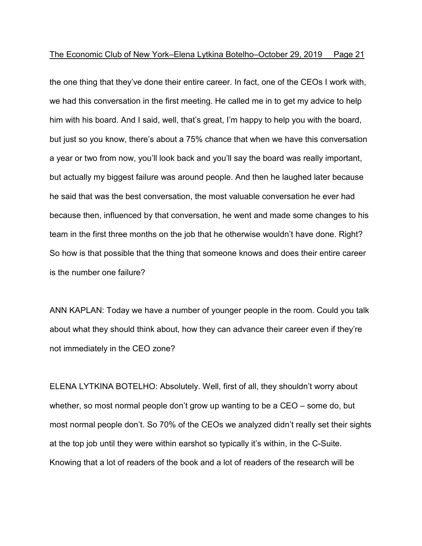the one thing that they've done their entire career. In fact, one of the CEOs I work with, we had this conversation in the first meeting. He called me in to get my advice to help him with his board. And I said, well, that's great, I'm happy to help you with the board, but just so you know, there's about a 75% chance that when we have this conversation a year or two from now, you'll look back and you'll say the board was really important, but actually my biggest failure was around people. And then he laughed later because he said that was the best conversation, the most valuable conversation he ever had because then, influenced by that conversation, he went and made some changes to his team in the first three months on the job that he otherwise wouldn't have done. Right? So how is that possible that the thing that someone knows and does their entire career is the number one failure?

ANN KAPLAN: Today we have a number of younger people in the room. Could you talk about what they should think about, how they can advance their career even if they're not immediately in the CEO zone?

ELENA LYTKINA BOTELHO: Absolutely. Well, first of all, they shouldn't worry about whether, so most normal people don't grow up wanting to be a CEO – some do, but most normal people don't. So 70% of the CEOs we analyzed didn't really set their sights at the top job until they were within earshot so typically it's within, in the C-Suite. Knowing that a lot of readers of the book and a lot of readers of the research will be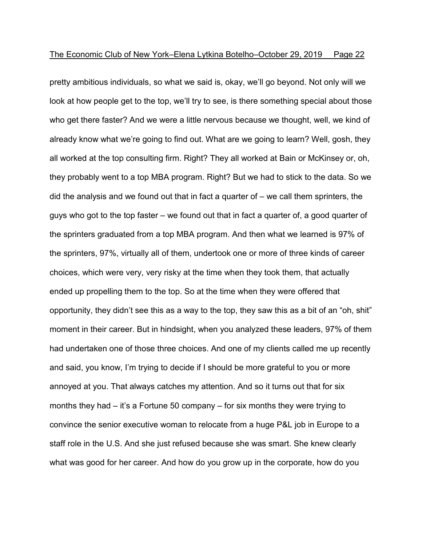pretty ambitious individuals, so what we said is, okay, we'll go beyond. Not only will we look at how people get to the top, we'll try to see, is there something special about those who get there faster? And we were a little nervous because we thought, well, we kind of already know what we're going to find out. What are we going to learn? Well, gosh, they all worked at the top consulting firm. Right? They all worked at Bain or McKinsey or, oh, they probably went to a top MBA program. Right? But we had to stick to the data. So we did the analysis and we found out that in fact a quarter of – we call them sprinters, the guys who got to the top faster – we found out that in fact a quarter of, a good quarter of the sprinters graduated from a top MBA program. And then what we learned is 97% of the sprinters, 97%, virtually all of them, undertook one or more of three kinds of career choices, which were very, very risky at the time when they took them, that actually ended up propelling them to the top. So at the time when they were offered that opportunity, they didn't see this as a way to the top, they saw this as a bit of an "oh, shit" moment in their career. But in hindsight, when you analyzed these leaders, 97% of them had undertaken one of those three choices. And one of my clients called me up recently and said, you know, I'm trying to decide if I should be more grateful to you or more annoyed at you. That always catches my attention. And so it turns out that for six months they had – it's a Fortune 50 company – for six months they were trying to convince the senior executive woman to relocate from a huge P&L job in Europe to a staff role in the U.S. And she just refused because she was smart. She knew clearly what was good for her career. And how do you grow up in the corporate, how do you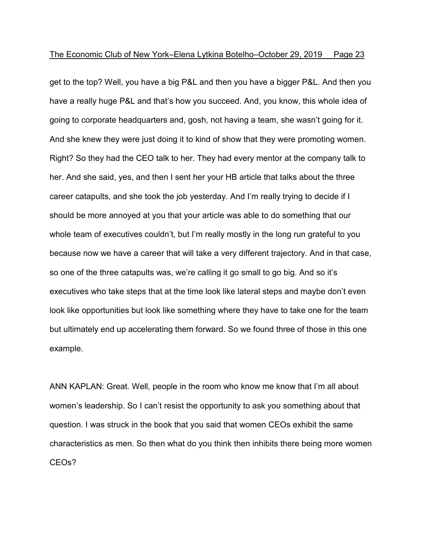get to the top? Well, you have a big P&L and then you have a bigger P&L. And then you have a really huge P&L and that's how you succeed. And, you know, this whole idea of going to corporate headquarters and, gosh, not having a team, she wasn't going for it. And she knew they were just doing it to kind of show that they were promoting women. Right? So they had the CEO talk to her. They had every mentor at the company talk to her. And she said, yes, and then I sent her your HB article that talks about the three career catapults, and she took the job yesterday. And I'm really trying to decide if I should be more annoyed at you that your article was able to do something that our whole team of executives couldn't, but I'm really mostly in the long run grateful to you because now we have a career that will take a very different trajectory. And in that case, so one of the three catapults was, we're calling it go small to go big. And so it's executives who take steps that at the time look like lateral steps and maybe don't even look like opportunities but look like something where they have to take one for the team but ultimately end up accelerating them forward. So we found three of those in this one example.

ANN KAPLAN: Great. Well, people in the room who know me know that I'm all about women's leadership. So I can't resist the opportunity to ask you something about that question. I was struck in the book that you said that women CEOs exhibit the same characteristics as men. So then what do you think then inhibits there being more women CEOs?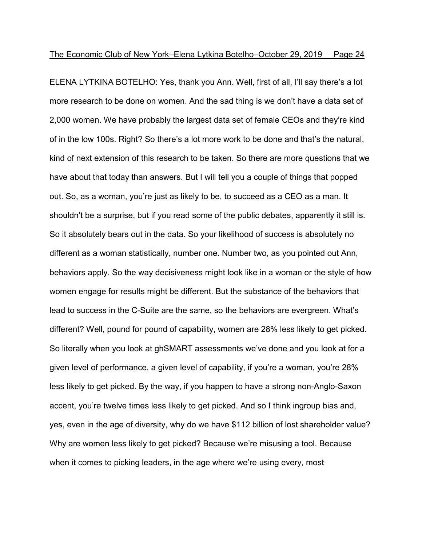ELENA LYTKINA BOTELHO: Yes, thank you Ann. Well, first of all, I'll say there's a lot more research to be done on women. And the sad thing is we don't have a data set of 2,000 women. We have probably the largest data set of female CEOs and they're kind of in the low 100s. Right? So there's a lot more work to be done and that's the natural, kind of next extension of this research to be taken. So there are more questions that we have about that today than answers. But I will tell you a couple of things that popped out. So, as a woman, you're just as likely to be, to succeed as a CEO as a man. It shouldn't be a surprise, but if you read some of the public debates, apparently it still is. So it absolutely bears out in the data. So your likelihood of success is absolutely no different as a woman statistically, number one. Number two, as you pointed out Ann, behaviors apply. So the way decisiveness might look like in a woman or the style of how women engage for results might be different. But the substance of the behaviors that lead to success in the C-Suite are the same, so the behaviors are evergreen. What's different? Well, pound for pound of capability, women are 28% less likely to get picked. So literally when you look at ghSMART assessments we've done and you look at for a given level of performance, a given level of capability, if you're a woman, you're 28% less likely to get picked. By the way, if you happen to have a strong non-Anglo-Saxon accent, you're twelve times less likely to get picked. And so I think ingroup bias and, yes, even in the age of diversity, why do we have \$112 billion of lost shareholder value? Why are women less likely to get picked? Because we're misusing a tool. Because when it comes to picking leaders, in the age where we're using every, most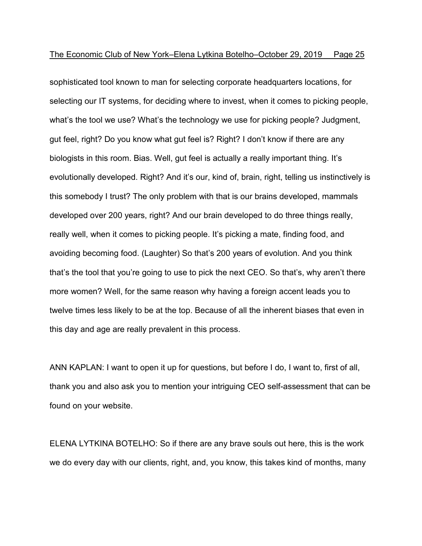sophisticated tool known to man for selecting corporate headquarters locations, for selecting our IT systems, for deciding where to invest, when it comes to picking people, what's the tool we use? What's the technology we use for picking people? Judgment, gut feel, right? Do you know what gut feel is? Right? I don't know if there are any biologists in this room. Bias. Well, gut feel is actually a really important thing. It's evolutionally developed. Right? And it's our, kind of, brain, right, telling us instinctively is this somebody I trust? The only problem with that is our brains developed, mammals developed over 200 years, right? And our brain developed to do three things really, really well, when it comes to picking people. It's picking a mate, finding food, and avoiding becoming food. (Laughter) So that's 200 years of evolution. And you think that's the tool that you're going to use to pick the next CEO. So that's, why aren't there more women? Well, for the same reason why having a foreign accent leads you to twelve times less likely to be at the top. Because of all the inherent biases that even in this day and age are really prevalent in this process.

ANN KAPLAN: I want to open it up for questions, but before I do, I want to, first of all, thank you and also ask you to mention your intriguing CEO self-assessment that can be found on your website.

ELENA LYTKINA BOTELHO: So if there are any brave souls out here, this is the work we do every day with our clients, right, and, you know, this takes kind of months, many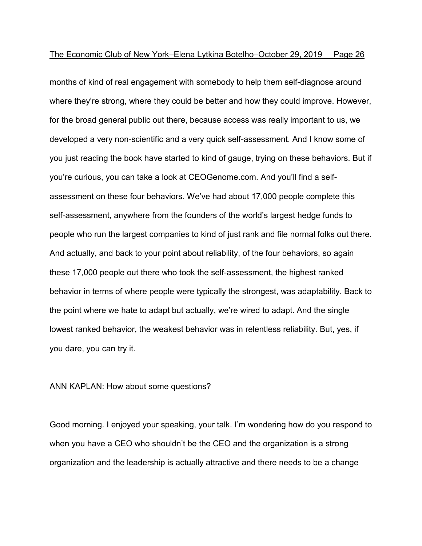months of kind of real engagement with somebody to help them self-diagnose around where they're strong, where they could be better and how they could improve. However, for the broad general public out there, because access was really important to us, we developed a very non-scientific and a very quick self-assessment. And I know some of you just reading the book have started to kind of gauge, trying on these behaviors. But if you're curious, you can take a look at CEOGenome.com. And you'll find a selfassessment on these four behaviors. We've had about 17,000 people complete this self-assessment, anywhere from the founders of the world's largest hedge funds to people who run the largest companies to kind of just rank and file normal folks out there. And actually, and back to your point about reliability, of the four behaviors, so again these 17,000 people out there who took the self-assessment, the highest ranked behavior in terms of where people were typically the strongest, was adaptability. Back to the point where we hate to adapt but actually, we're wired to adapt. And the single lowest ranked behavior, the weakest behavior was in relentless reliability. But, yes, if you dare, you can try it.

### ANN KAPLAN: How about some questions?

Good morning. I enjoyed your speaking, your talk. I'm wondering how do you respond to when you have a CEO who shouldn't be the CEO and the organization is a strong organization and the leadership is actually attractive and there needs to be a change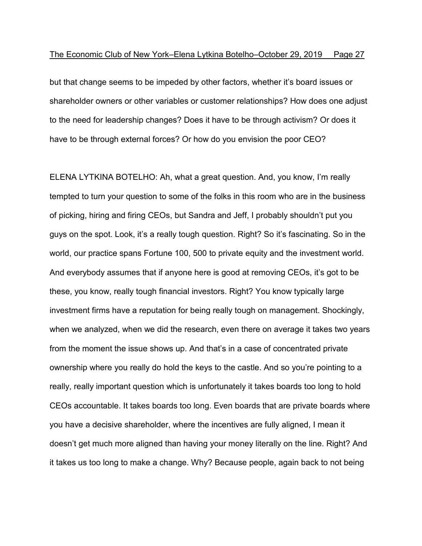but that change seems to be impeded by other factors, whether it's board issues or shareholder owners or other variables or customer relationships? How does one adjust to the need for leadership changes? Does it have to be through activism? Or does it have to be through external forces? Or how do you envision the poor CEO?

ELENA LYTKINA BOTELHO: Ah, what a great question. And, you know, I'm really tempted to turn your question to some of the folks in this room who are in the business of picking, hiring and firing CEOs, but Sandra and Jeff, I probably shouldn't put you guys on the spot. Look, it's a really tough question. Right? So it's fascinating. So in the world, our practice spans Fortune 100, 500 to private equity and the investment world. And everybody assumes that if anyone here is good at removing CEOs, it's got to be these, you know, really tough financial investors. Right? You know typically large investment firms have a reputation for being really tough on management. Shockingly, when we analyzed, when we did the research, even there on average it takes two years from the moment the issue shows up. And that's in a case of concentrated private ownership where you really do hold the keys to the castle. And so you're pointing to a really, really important question which is unfortunately it takes boards too long to hold CEOs accountable. It takes boards too long. Even boards that are private boards where you have a decisive shareholder, where the incentives are fully aligned, I mean it doesn't get much more aligned than having your money literally on the line. Right? And it takes us too long to make a change. Why? Because people, again back to not being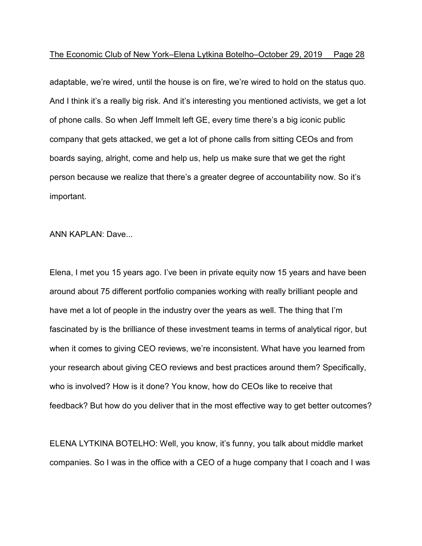adaptable, we're wired, until the house is on fire, we're wired to hold on the status quo. And I think it's a really big risk. And it's interesting you mentioned activists, we get a lot of phone calls. So when Jeff Immelt left GE, every time there's a big iconic public company that gets attacked, we get a lot of phone calls from sitting CEOs and from boards saying, alright, come and help us, help us make sure that we get the right person because we realize that there's a greater degree of accountability now. So it's important.

ANN KAPLAN: Dave...

Elena, I met you 15 years ago. I've been in private equity now 15 years and have been around about 75 different portfolio companies working with really brilliant people and have met a lot of people in the industry over the years as well. The thing that I'm fascinated by is the brilliance of these investment teams in terms of analytical rigor, but when it comes to giving CEO reviews, we're inconsistent. What have you learned from your research about giving CEO reviews and best practices around them? Specifically, who is involved? How is it done? You know, how do CEOs like to receive that feedback? But how do you deliver that in the most effective way to get better outcomes?

ELENA LYTKINA BOTELHO: Well, you know, it's funny, you talk about middle market companies. So I was in the office with a CEO of a huge company that I coach and I was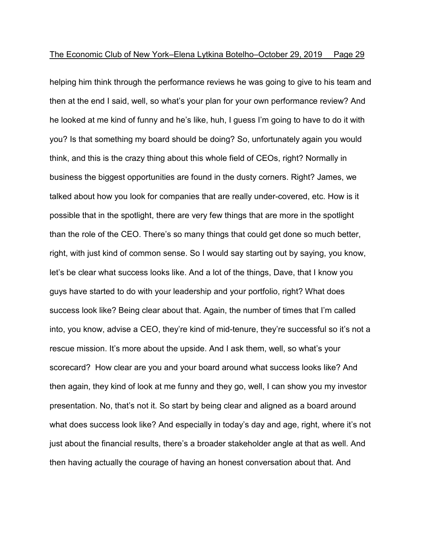helping him think through the performance reviews he was going to give to his team and then at the end I said, well, so what's your plan for your own performance review? And he looked at me kind of funny and he's like, huh, I guess I'm going to have to do it with you? Is that something my board should be doing? So, unfortunately again you would think, and this is the crazy thing about this whole field of CEOs, right? Normally in business the biggest opportunities are found in the dusty corners. Right? James, we talked about how you look for companies that are really under-covered, etc. How is it possible that in the spotlight, there are very few things that are more in the spotlight than the role of the CEO. There's so many things that could get done so much better, right, with just kind of common sense. So I would say starting out by saying, you know, let's be clear what success looks like. And a lot of the things, Dave, that I know you guys have started to do with your leadership and your portfolio, right? What does success look like? Being clear about that. Again, the number of times that I'm called into, you know, advise a CEO, they're kind of mid-tenure, they're successful so it's not a rescue mission. It's more about the upside. And I ask them, well, so what's your scorecard? How clear are you and your board around what success looks like? And then again, they kind of look at me funny and they go, well, I can show you my investor presentation. No, that's not it. So start by being clear and aligned as a board around what does success look like? And especially in today's day and age, right, where it's not just about the financial results, there's a broader stakeholder angle at that as well. And then having actually the courage of having an honest conversation about that. And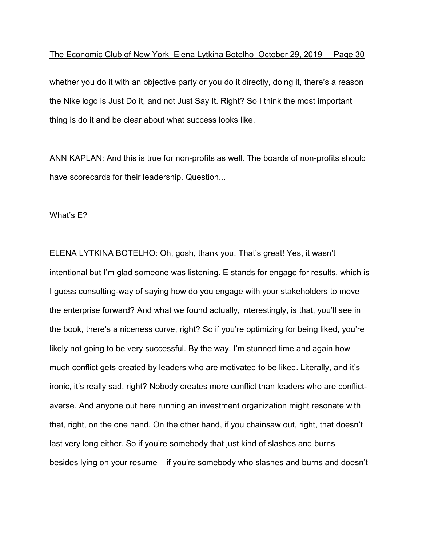whether you do it with an objective party or you do it directly, doing it, there's a reason the Nike logo is Just Do it, and not Just Say It. Right? So I think the most important thing is do it and be clear about what success looks like.

ANN KAPLAN: And this is true for non-profits as well. The boards of non-profits should have scorecards for their leadership. Question...

What's E?

ELENA LYTKINA BOTELHO: Oh, gosh, thank you. That's great! Yes, it wasn't intentional but I'm glad someone was listening. E stands for engage for results, which is I guess consulting-way of saying how do you engage with your stakeholders to move the enterprise forward? And what we found actually, interestingly, is that, you'll see in the book, there's a niceness curve, right? So if you're optimizing for being liked, you're likely not going to be very successful. By the way, I'm stunned time and again how much conflict gets created by leaders who are motivated to be liked. Literally, and it's ironic, it's really sad, right? Nobody creates more conflict than leaders who are conflictaverse. And anyone out here running an investment organization might resonate with that, right, on the one hand. On the other hand, if you chainsaw out, right, that doesn't last very long either. So if you're somebody that just kind of slashes and burns – besides lying on your resume – if you're somebody who slashes and burns and doesn't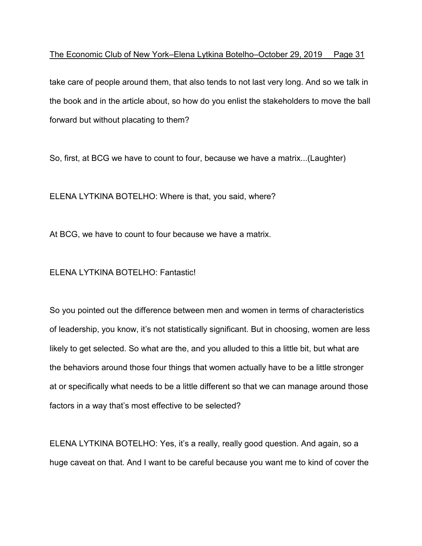take care of people around them, that also tends to not last very long. And so we talk in the book and in the article about, so how do you enlist the stakeholders to move the ball forward but without placating to them?

So, first, at BCG we have to count to four, because we have a matrix...(Laughter)

ELENA LYTKINA BOTELHO: Where is that, you said, where?

At BCG, we have to count to four because we have a matrix.

ELENA LYTKINA BOTELHO: Fantastic!

So you pointed out the difference between men and women in terms of characteristics of leadership, you know, it's not statistically significant. But in choosing, women are less likely to get selected. So what are the, and you alluded to this a little bit, but what are the behaviors around those four things that women actually have to be a little stronger at or specifically what needs to be a little different so that we can manage around those factors in a way that's most effective to be selected?

ELENA LYTKINA BOTELHO: Yes, it's a really, really good question. And again, so a huge caveat on that. And I want to be careful because you want me to kind of cover the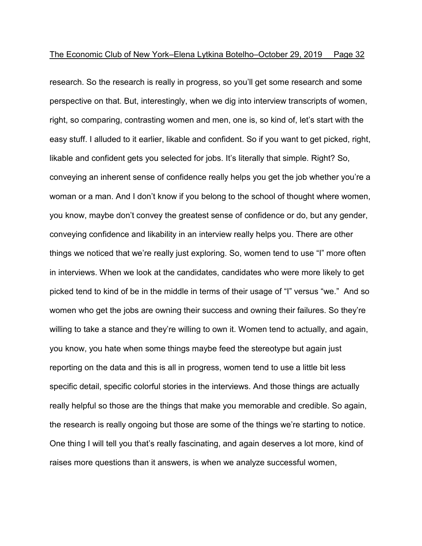research. So the research is really in progress, so you'll get some research and some perspective on that. But, interestingly, when we dig into interview transcripts of women, right, so comparing, contrasting women and men, one is, so kind of, let's start with the easy stuff. I alluded to it earlier, likable and confident. So if you want to get picked, right, likable and confident gets you selected for jobs. It's literally that simple. Right? So, conveying an inherent sense of confidence really helps you get the job whether you're a woman or a man. And I don't know if you belong to the school of thought where women, you know, maybe don't convey the greatest sense of confidence or do, but any gender, conveying confidence and likability in an interview really helps you. There are other things we noticed that we're really just exploring. So, women tend to use "I" more often in interviews. When we look at the candidates, candidates who were more likely to get picked tend to kind of be in the middle in terms of their usage of "I" versus "we." And so women who get the jobs are owning their success and owning their failures. So they're willing to take a stance and they're willing to own it. Women tend to actually, and again, you know, you hate when some things maybe feed the stereotype but again just reporting on the data and this is all in progress, women tend to use a little bit less specific detail, specific colorful stories in the interviews. And those things are actually really helpful so those are the things that make you memorable and credible. So again, the research is really ongoing but those are some of the things we're starting to notice. One thing I will tell you that's really fascinating, and again deserves a lot more, kind of raises more questions than it answers, is when we analyze successful women,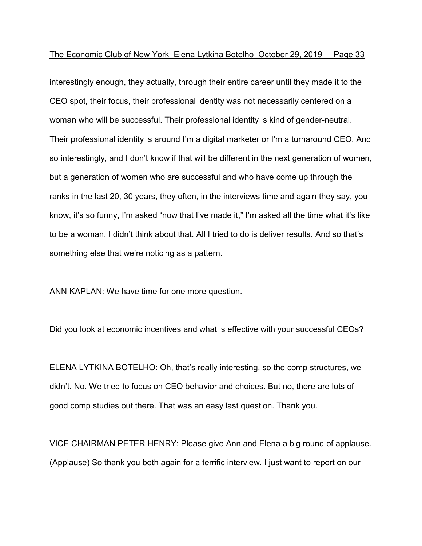interestingly enough, they actually, through their entire career until they made it to the CEO spot, their focus, their professional identity was not necessarily centered on a woman who will be successful. Their professional identity is kind of gender-neutral. Their professional identity is around I'm a digital marketer or I'm a turnaround CEO. And so interestingly, and I don't know if that will be different in the next generation of women, but a generation of women who are successful and who have come up through the ranks in the last 20, 30 years, they often, in the interviews time and again they say, you know, it's so funny, I'm asked "now that I've made it," I'm asked all the time what it's like to be a woman. I didn't think about that. All I tried to do is deliver results. And so that's something else that we're noticing as a pattern.

ANN KAPLAN: We have time for one more question.

Did you look at economic incentives and what is effective with your successful CEOs?

ELENA LYTKINA BOTELHO: Oh, that's really interesting, so the comp structures, we didn't. No. We tried to focus on CEO behavior and choices. But no, there are lots of good comp studies out there. That was an easy last question. Thank you.

VICE CHAIRMAN PETER HENRY: Please give Ann and Elena a big round of applause. (Applause) So thank you both again for a terrific interview. I just want to report on our